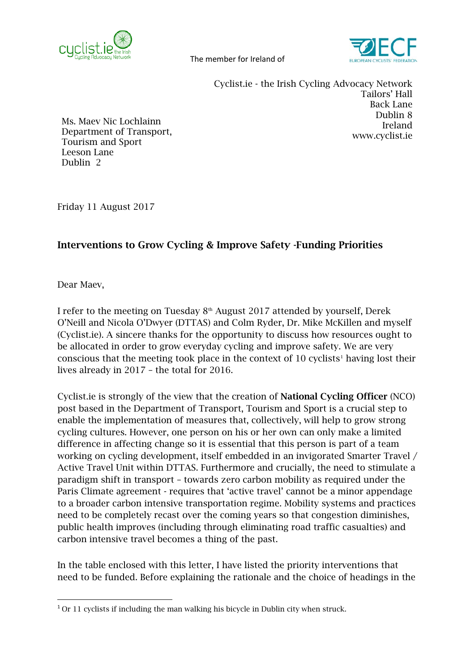



Cyclist.ie - the Irish Cycling Advocacy Network Tailors' Hall Back Lane Dublin 8 Ireland [www.cyclist.ie](http://www.cyclist.ie/)

Ms. Maev Nic Lochlainn Department of Transport, Tourism and Sport Leeson Lane Dublin 2

Friday 11 August 2017

## Interventions to Grow Cycling & Improve Safety -Funding Priorities

Dear Maev,

I refer to the meeting on Tuesday  $8<sup>th</sup>$  August 2017 attended by yourself, Derek O'Neill and Nicola O'Dwyer (DTTAS) and Colm Ryder, Dr. Mike McKillen and myself (Cyclist.ie). A sincere thanks for the opportunity to discuss how resources ought to be allocated in order to grow everyday cycling and improve safety. We are very conscious that the meeting took place in the context of  $10$  $10$  cyclists<sup>1</sup> having lost their lives already in 2017 – the total for 2016.

Cyclist.ie is strongly of the view that the creation of National Cycling Officer (NCO) post based in the Department of Transport, Tourism and Sport is a crucial step to enable the implementation of measures that, collectively, will help to grow strong cycling cultures. However, one person on his or her own can only make a limited difference in affecting change so it is essential that this person is part of a team working on cycling development, itself embedded in an invigorated Smarter Travel / Active Travel Unit within DTTAS. Furthermore and crucially, the need to stimulate a paradigm shift in transport – towards zero carbon mobility as required under the Paris Climate agreement - requires that 'active travel' cannot be a minor appendage to a broader carbon intensive transportation regime. Mobility systems and practices need to be completely recast over the coming years so that congestion diminishes, public health improves (including through eliminating road traffic casualties) and carbon intensive travel becomes a thing of the past.

In the table enclosed with this letter, I have listed the priority interventions that need to be funded. Before explaining the rationale and the choice of headings in the

<span id="page-0-0"></span> <sup>1</sup> Or 11 cyclists if including the man walking his bicycle in Dublin city when struck.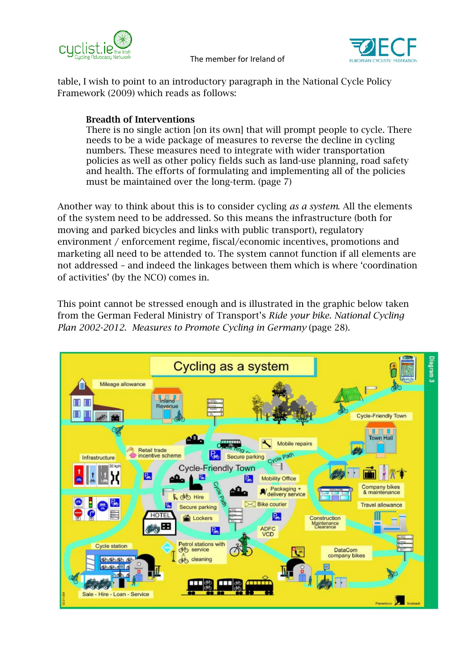

table, I wish to point to an introductory paragraph in the National Cycle Policy Framework (2009) which reads as follows:

## Breadth of Interventions

There is no single action [on its own] that will prompt people to cycle. There needs to be a wide package of measures to reverse the decline in cycling numbers. These measures need to integrate with wider transportation policies as well as other policy fields such as land-use planning, road safety and health. The efforts of formulating and implementing all of the policies must be maintained over the long-term. (page 7)

Another way to think about this is to consider cycling *as a system*. All the elements of the system need to be addressed. So this means the infrastructure (both for moving and parked bicycles and links with public transport), regulatory environment / enforcement regime, fiscal/economic incentives, promotions and marketing all need to be attended to. The system cannot function if all elements are not addressed – and indeed the linkages between them which is where 'coordination of activities' (by the NCO) comes in.

This point cannot be stressed enough and is illustrated in the graphic below taken from the German Federal Ministry of Transport's *Ride your bike. National Cycling Plan 2002-2012. Measures to Promote Cycling in Germany* (page 28).

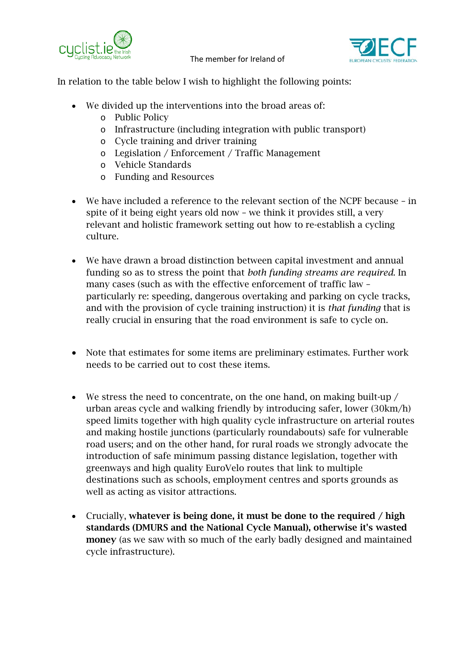



In relation to the table below I wish to highlight the following points:

- We divided up the interventions into the broad areas of:
	- o Public Policy
	- o Infrastructure (including integration with public transport)
	- o Cycle training and driver training
	- o Legislation / Enforcement / Traffic Management
	- o Vehicle Standards
	- o Funding and Resources
- We have included a reference to the relevant section of the NCPF because in spite of it being eight years old now – we think it provides still, a very relevant and holistic framework setting out how to re-establish a cycling culture.
- We have drawn a broad distinction between capital investment and annual funding so as to stress the point that *both funding streams are required*. In many cases (such as with the effective enforcement of traffic law – particularly re: speeding, dangerous overtaking and parking on cycle tracks, and with the provision of cycle training instruction) it is *that funding* that is really crucial in ensuring that the road environment is safe to cycle on.
- Note that estimates for some items are preliminary estimates. Further work needs to be carried out to cost these items.
- We stress the need to concentrate, on the one hand, on making built-up / urban areas cycle and walking friendly by introducing safer, lower (30km/h) speed limits together with high quality cycle infrastructure on arterial routes and making hostile junctions (particularly roundabouts) safe for vulnerable road users; and on the other hand, for rural roads we strongly advocate the introduction of safe minimum passing distance legislation, together with greenways and high quality EuroVelo routes that link to multiple destinations such as schools, employment centres and sports grounds as well as acting as visitor attractions.
- Crucially, whatever is being done, it must be done to the required / high standards (DMURS and the National Cycle Manual), otherwise it's wasted money (as we saw with so much of the early badly designed and maintained cycle infrastructure).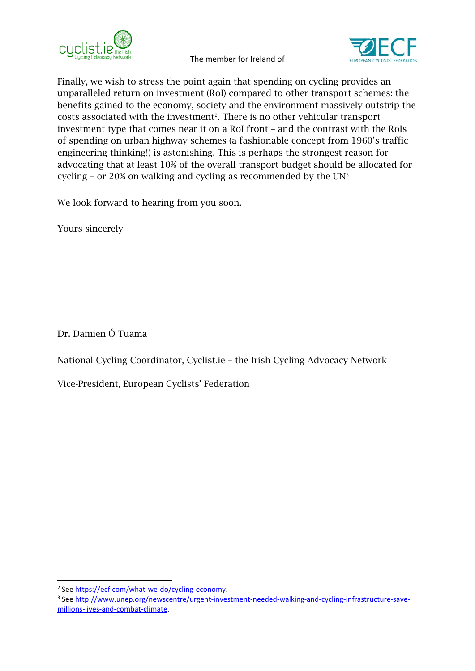



Finally, we wish to stress the point again that spending on cycling provides an unparalleled return on investment (RoI) compared to other transport schemes: the benefits gained to the economy, society and the environment massively outstrip the  $costs$  associated with the investment<sup>[2](#page-3-0)</sup>. There is no other vehicular transport investment type that comes near it on a RoI front – and the contrast with the RoIs of spending on urban highway schemes (a fashionable concept from 1960's traffic engineering thinking!) is astonishing. This is perhaps the strongest reason for advocating that at least 10% of the overall transport budget should be allocated for cycling – or 20% on walking and cycling as recommended by the  $UN<sup>3</sup>$  $UN<sup>3</sup>$  $UN<sup>3</sup>$ 

We look forward to hearing from you soon.

Yours sincerely

Dr. Damien Ó Tuama

National Cycling Coordinator, Cyclist.ie – the Irish Cycling Advocacy Network

Vice-President, European Cyclists' Federation

<span id="page-3-1"></span><span id="page-3-0"></span><sup>&</sup>lt;sup>2</sup> See https://ecf.com/what-we-do/cycling-economy.<br><sup>3</sup> See [http://www.unep.org/newscentre/urgent-investment-needed-walking-and-cycling-infrastructure-save](http://www.unep.org/newscentre/urgent-investment-needed-walking-and-cycling-infrastructure-save-millions-lives-and-combat-climate)[millions-lives-and-combat-climate.](http://www.unep.org/newscentre/urgent-investment-needed-walking-and-cycling-infrastructure-save-millions-lives-and-combat-climate)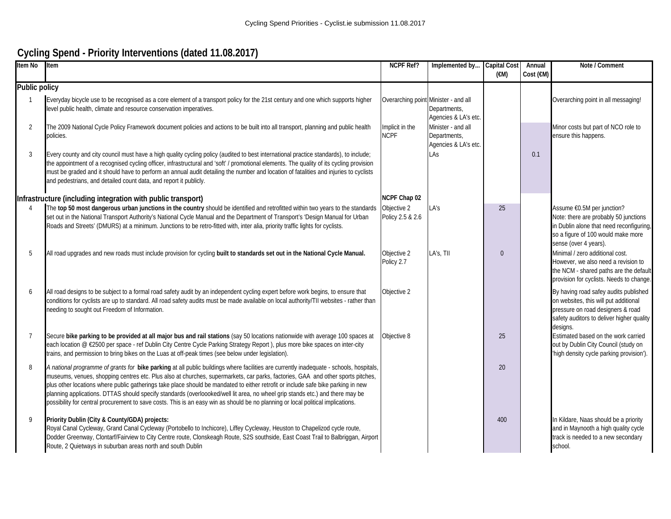## **Cycling Spend - Priority Interventions (dated 11.08.2017)**

| Item No         | Item                                                                                                                                                                                                                                                                                                                                                                                                                                                                                                                                                                                                                                                                                 | NCPF Ref?                            | Implemented by                                             | <b>Capital Cost</b><br>$(\epsilon M)$ | Annual<br>Cost $(\epsilon M)$ | Note / Comment                                                                                                                                                                 |
|-----------------|--------------------------------------------------------------------------------------------------------------------------------------------------------------------------------------------------------------------------------------------------------------------------------------------------------------------------------------------------------------------------------------------------------------------------------------------------------------------------------------------------------------------------------------------------------------------------------------------------------------------------------------------------------------------------------------|--------------------------------------|------------------------------------------------------------|---------------------------------------|-------------------------------|--------------------------------------------------------------------------------------------------------------------------------------------------------------------------------|
| Public policy   |                                                                                                                                                                                                                                                                                                                                                                                                                                                                                                                                                                                                                                                                                      |                                      |                                                            |                                       |                               |                                                                                                                                                                                |
|                 | Everyday bicycle use to be recognised as a core element of a transport policy for the 21st century and one which supports higher<br>level public health, climate and resource conservation imperatives.                                                                                                                                                                                                                                                                                                                                                                                                                                                                              | Overarching point Minister - and all | Departments,<br>Agencies & LA's etc.                       |                                       |                               | Overarching point in all messaging!                                                                                                                                            |
| 2               | The 2009 National Cycle Policy Framework document policies and actions to be built into all transport, planning and public health<br>policies.                                                                                                                                                                                                                                                                                                                                                                                                                                                                                                                                       | Implicit in the<br><b>NCPF</b>       | Minister - and all<br>Departments,<br>Agencies & LA's etc. |                                       |                               | Minor costs but part of NCO role to<br>ensure this happens.                                                                                                                    |
| 3               | Every county and city council must have a high quality cycling policy (audited to best international practice standards), to include;<br>the appointment of a recognised cycling officer, infrastructural and 'soft' / promotional elements. The quality of its cycling provision<br>must be graded and it should have to perform an annual audit detailing the number and location of fatalities and injuries to cyclists<br>and pedestrians, and detailed count data, and report it publicly.                                                                                                                                                                                      |                                      | LAs                                                        |                                       | 0.1                           |                                                                                                                                                                                |
|                 | Infrastructure (including integration with public transport)                                                                                                                                                                                                                                                                                                                                                                                                                                                                                                                                                                                                                         | NCPF Chap 02                         |                                                            |                                       |                               |                                                                                                                                                                                |
|                 | The top 50 most dangerous urban junctions in the country should be identified and retrofitted within two years to the standards<br>set out in the National Transport Authority's National Cycle Manual and the Department of Transport's 'Design Manual for Urban<br>Roads and Streets' (DMURS) at a minimum. Junctions to be retro-fitted with, inter alia, priority traffic lights for cyclists.                                                                                                                                                                                                                                                                                   | Objective 2<br>Policy 2.5 & 2.6      | LA's                                                       | 25                                    |                               | Assume €0.5M per junction?<br>Note: there are probably 50 junctions<br>in Dublin alone that need reconfiguring,<br>so a figure of 100 would make more<br>sense (over 4 years). |
| 5               | All road upgrades and new roads must include provision for cycling built to standards set out in the National Cycle Manual.                                                                                                                                                                                                                                                                                                                                                                                                                                                                                                                                                          | Objective 2<br>Policy 2.7            | LA's, TII                                                  | $\Omega$                              |                               | Minimal / zero additional cost.<br>However, we also need a revision to<br>the NCM - shared paths are the default<br>provision for cyclists. Needs to change.                   |
| 6               | All road designs to be subject to a formal road safety audit by an independent cycling expert before work begins, to ensure that<br>conditions for cyclists are up to standard. All road safety audits must be made available on local authority/TII websites - rather than<br>needing to sought out Freedom of Information.                                                                                                                                                                                                                                                                                                                                                         | Objective 2                          |                                                            |                                       |                               | By having road safey audits published<br>on websites, this will put additional<br>pressure on road designers & road<br>safety auditors to deliver higher quality<br>designs.   |
| $7\overline{ }$ | Secure bike parking to be provided at all major bus and rail stations (say 50 locations nationwide with average 100 spaces at<br>each location @ €2500 per space - ref Dublin City Centre Cycle Parking Strategy Report), plus more bike spaces on inter-city<br>trains, and permission to bring bikes on the Luas at off-peak times (see below under legislation).                                                                                                                                                                                                                                                                                                                  | Objective 8                          |                                                            | 25                                    |                               | Estimated based on the work carried<br>out by Dublin City Council (study on<br>'high density cycle parking provision').                                                        |
| 8               | A national programme of grants for bike parking at all public buildings where facilities are currently inadequate - schools, hospitals,<br>museums, venues, shopping centres etc. Plus also at churches, supermarkets, car parks, factories, GAA and other sports pitches,<br>plus other locations where public gatherings take place should be mandated to either retrofit or include safe bike parking in new<br>planning applications. DTTAS should specify standards (overloooked/well lit area, no wheel grip stands etc.) and there may be<br>possibility for central procurement to save costs. This is an easy win as should be no planning or local political implications. |                                      |                                                            | 20                                    |                               |                                                                                                                                                                                |
| $\mathsf{Q}$    | Priority Dublin (City & County/GDA) projects:<br>Royal Canal Cycleway, Grand Canal Cycleway (Portobello to Inchicore), Liffey Cycleway, Heuston to Chapelizod cycle route,<br>Dodder Greenway, Clontarf/Fairview to City Centre route, Clonskeagh Route, S2S southside, East Coast Trail to Balbriggan, Airport<br>Route, 2 Quietways in suburban areas north and south Dublin                                                                                                                                                                                                                                                                                                       |                                      |                                                            | 400                                   |                               | In Kildare, Naas should be a priority<br>and in Maynooth a high quality cycle<br>track is needed to a new secondary<br>school.                                                 |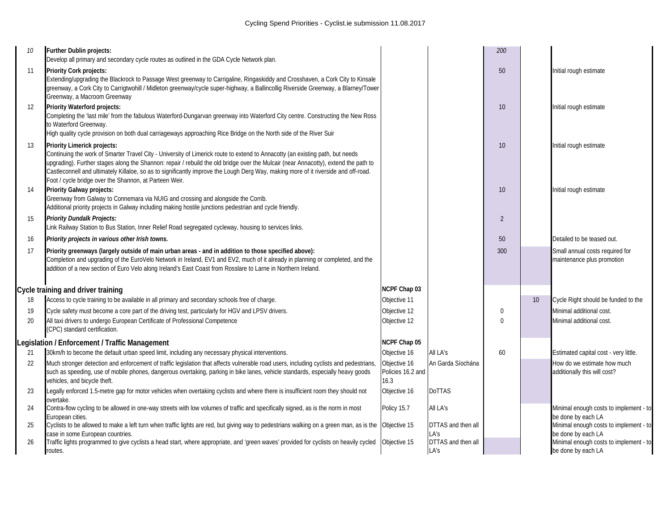| 10 | Further Dublin projects:<br>Develop all primary and secondary cycle routes as outlined in the GDA Cycle Network plan.                                                                                                                                                                                                                                                                                                                                                                                |                                           |                            | 200            |    |                                                               |
|----|------------------------------------------------------------------------------------------------------------------------------------------------------------------------------------------------------------------------------------------------------------------------------------------------------------------------------------------------------------------------------------------------------------------------------------------------------------------------------------------------------|-------------------------------------------|----------------------------|----------------|----|---------------------------------------------------------------|
| 11 | <b>Priority Cork projects:</b><br>Extending/upgrading the Blackrock to Passage West greenway to Carrigaline, Ringaskiddy and Crosshaven, a Cork City to Kinsale<br>greenway, a Cork City to Carrigtwohill / Midleton greenway/cycle super-highway, a Ballincollig Riverside Greenway, a Blarney/Tower<br>Greenway, a Macroom Greenway                                                                                                                                                                |                                           |                            | 50             |    | Initial rough estimate                                        |
| 12 | Priority Waterford projects:<br>Completing the 'last mile' from the fabulous Waterford-Dungarvan greenway into Waterford City centre. Constructing the New Ross<br>to Waterford Greenway.<br>High quality cycle provision on both dual carriageways approaching Rice Bridge on the North side of the River Suir                                                                                                                                                                                      |                                           |                            | 10             |    | Initial rough estimate                                        |
| 13 | Priority Limerick projects:<br>Continuing the work of Smarter Travel City - University of Limerick route to extend to Annacotty (an existing path, but needs<br>upgrading). Further stages along the Shannon: repair / rebuild the old bridge over the Mulcair (near Annacotty), extend the path to<br>Castleconnell and ultimately Killaloe, so as to significantly improve the Lough Derg Way, making more of it riverside and off-road.<br>Foot / cycle bridge over the Shannon, at Parteen Weir. |                                           |                            | 10             |    | Initial rough estimate                                        |
| 14 | <b>Priority Galway projects:</b><br>Greenway from Galway to Connemara via NUIG and crossing and alongside the Corrib.<br>Additional priority projects in Galway including making hostile junctions pedestrian and cycle friendly.                                                                                                                                                                                                                                                                    |                                           |                            | 10             |    | Initial rough estimate                                        |
| 15 | <b>Priority Dundalk Projects:</b><br>Link Railway Station to Bus Station, Inner Relief Road segregated cycleway, housing to services links.                                                                                                                                                                                                                                                                                                                                                          |                                           |                            | $\overline{2}$ |    |                                                               |
| 16 | Priority projects in various other Irish towns.                                                                                                                                                                                                                                                                                                                                                                                                                                                      |                                           |                            | 50             |    | Detailed to be teased out.                                    |
| 17 | Priority greenways (largely outside of main urban areas - and in addition to those specified above):<br>Completion and upgrading of the EuroVelo Network in Ireland, EV1 and EV2, much of it already in planning or completed, and the<br>addition of a new section of Euro Velo along Ireland's East Coast from Rosslare to Larne in Northern Ireland.                                                                                                                                              |                                           |                            | 300            |    | Small annual costs required for<br>maintenance plus promotion |
|    | Cycle training and driver training                                                                                                                                                                                                                                                                                                                                                                                                                                                                   | NCPF Chap 03                              |                            |                |    |                                                               |
| 18 | Access to cycle training to be available in all primary and secondary schools free of charge.                                                                                                                                                                                                                                                                                                                                                                                                        | Objective 11                              |                            |                | 10 | Cycle Right should be funded to the                           |
| 19 | Cycle safety must become a core part of the driving test, particularly for HGV and LPSV drivers.                                                                                                                                                                                                                                                                                                                                                                                                     | Objective 12                              |                            | $\mathbf{0}$   |    | Minimal additional cost.                                      |
| 20 | All taxi drivers to undergo European Certificate of Professional Competence<br>(CPC) standard certification.                                                                                                                                                                                                                                                                                                                                                                                         | Objective 12                              |                            | $\Omega$       |    | Minimal additional cost.                                      |
|    | Legislation / Enforcement / Traffic Management                                                                                                                                                                                                                                                                                                                                                                                                                                                       | NCPF Chap 05                              |                            |                |    |                                                               |
| 21 | 30km/h to become the default urban speed limit, including any necessary physical interventions.                                                                                                                                                                                                                                                                                                                                                                                                      | Objective 16                              | All LA's                   | 60             |    | Estimated capital cost - very little.                         |
| 22 | Much stronger detection and enforcement of traffic legislation that affects vulnerable road users, including cyclists and pedestrians,<br>such as speeding, use of mobile phones, dangerous overtaking, parking in bike lanes, vehicle standards, especially heavy goods<br>vehicles, and bicycle theft.                                                                                                                                                                                             | Objective 16<br>Policies 16.2 and<br>16.3 | An Garda Síochána          |                |    | How do we estimate how much<br>additionally this will cost?   |
| 23 | Legally enforced 1.5-metre gap for motor vehicles when overtaking cyclists and where there is insufficient room they should not<br>overtake.                                                                                                                                                                                                                                                                                                                                                         | Objective 16                              | <b>DoTTAS</b>              |                |    |                                                               |
| 24 | Contra-flow cycling to be allowed in one-way streets with low volumes of traffic and specifically signed, as is the norm in most<br>European cities.                                                                                                                                                                                                                                                                                                                                                 | Policy 15.7                               | All LA's                   |                |    | Minimal enough costs to implement - to<br>be done by each LA  |
| 25 | Cyclists to be allowed to make a left turn when traffic lights are red, but giving way to pedestrians walking on a green man, as is the Objective 15<br>case in some European countries.                                                                                                                                                                                                                                                                                                             |                                           | DTTAS and then all<br>LA's |                |    | Minimal enough costs to implement - to<br>be done by each LA  |
| 26 | Traffic lights programmed to give cyclists a head start, where appropriate, and 'green waves' provided for cyclists on heavily cycled<br>routes.                                                                                                                                                                                                                                                                                                                                                     | Objective 15                              | DTTAS and then all<br>LA's |                |    | Minimal enough costs to implement - to<br>be done by each LA  |